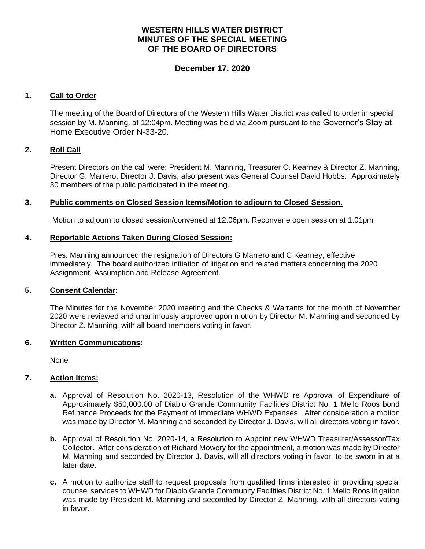# **WESTERN HILLS WATER DISTRICT MINUTES OF THE SPECIAL MEETING OF THE BOARD OF DIRECTORS**

# **December 17, 2020**

### **1. Call to Order**

The meeting of the Board of Directors of the Western Hills Water District was called to order in special session by M. Manning. at 12:04pm. Meeting was held via Zoom pursuant to the Governor's Stay at Home Executive Order N-33-20.

#### **2. Roll Call**

Present Directors on the call were: President M. Manning, Treasurer C. Kearney & Director Z. Manning, Director G. Marrero, Director J. Davis; also present was General Counsel David Hobbs. Approximately 30 members of the public participated in the meeting.

### **3. Public comments on Closed Session Items/Motion to adjourn to Closed Session.**

Motion to adjourn to closed session/convened at 12:06pm. Reconvene open session at 1:01pm

#### **4. Reportable Actions Taken During Closed Session:**

Pres. Manning announced the resignation of Directors G Marrero and C Kearney, effective immediately. The board authorized initiation of litigation and related matters concerning the 2020 Assignment, Assumption and Release Agreement.

#### **5. Consent Calendar:**

The Minutes for the November 2020 meeting and the Checks & Warrants for the month of November 2020 were reviewed and unanimously approved upon motion by Director M. Manning and seconded by Director Z. Manning, with all board members voting in favor.

#### **6. Written Communications:**

None

#### **7. Action Items:**

- **a.** Approval of Resolution No. 2020-13, Resolution of the WHWD re Approval of Expenditure of Approximately \$50,000.00 of Diablo Grande Community Facilities District No. 1 Mello Roos bond Refinance Proceeds for the Payment of Immediate WHWD Expenses. After consideration a motion was made by Director M. Manning and seconded by Director J. Davis, will all directors voting in favor.
- **b.** Approval of Resolution No. 2020-14, a Resolution to Appoint new WHWD Treasurer/Assessor/Tax Collector.After consideration of Richard Mowery for the appointment, a motion was made by Director M. Manning and seconded by Director J. Davis, will all directors voting in favor, to be sworn in at a later date.
- **c.** A motion to authorize staff to request proposals from qualified firms interested in providing special counsel services to WHWD for Diablo Grande Community Facilities District No. 1 Mello Roos litigation was made by President M. Manning and seconded by Director Z. Manning, with all directors voting in favor.